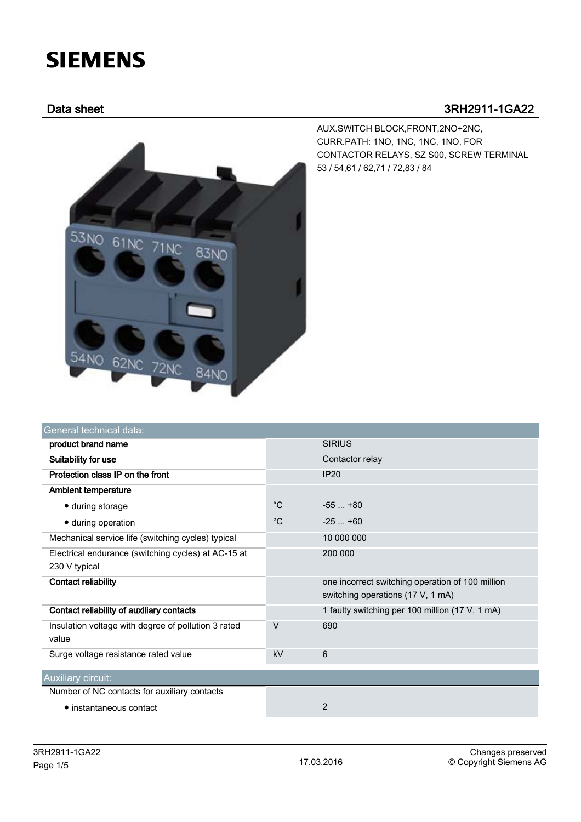## **SIEMENS**

## Data sheet 3RH2911-1GA22

AUX.SWITCH BLOCK,FRONT,2NO+2NC, CURR.PATH: 1NO, 1NC, 1NC, 1NO, FOR CONTACTOR RELAYS, SZ S00, SCREW TERMINAL 53 / 54,61 / 62,71 / 72,83 / 84



|             | <b>SIRIUS</b>                                                                         |
|-------------|---------------------------------------------------------------------------------------|
|             | Contactor relay                                                                       |
|             | IP20                                                                                  |
|             |                                                                                       |
| $^{\circ}C$ | $-55+80$                                                                              |
| $^{\circ}C$ | $-25 - +60$                                                                           |
|             | 10 000 000                                                                            |
|             | 200 000                                                                               |
|             | one incorrect switching operation of 100 million<br>switching operations (17 V, 1 mA) |
|             | 1 faulty switching per 100 million (17 V, 1 mA)                                       |
| $\vee$      | 690                                                                                   |
| kV          | 6                                                                                     |
|             |                                                                                       |
|             |                                                                                       |
|             | 2                                                                                     |
|             |                                                                                       |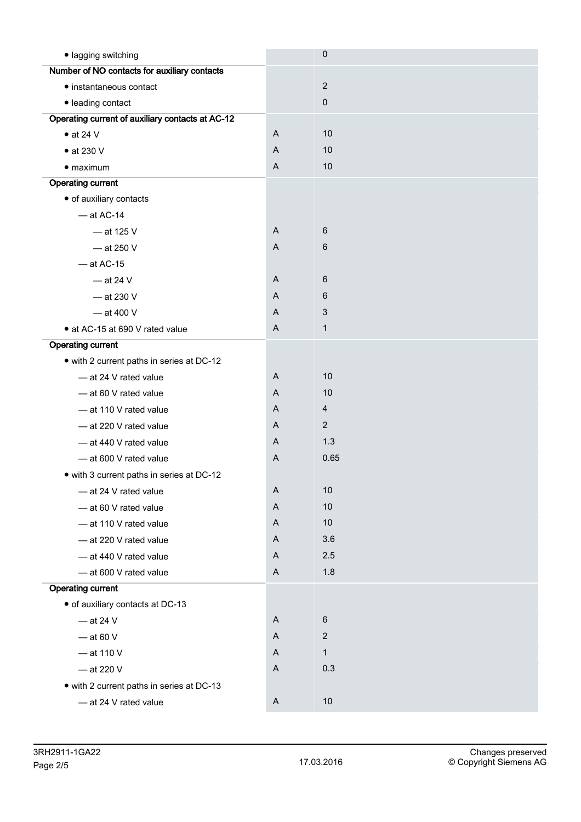| · lagging switching                              |              | $\mathbf 0$     |
|--------------------------------------------------|--------------|-----------------|
| Number of NO contacts for auxiliary contacts     |              |                 |
| • instantaneous contact                          |              | $\overline{2}$  |
| · leading contact                                |              | $\mathbf 0$     |
| Operating current of auxiliary contacts at AC-12 |              |                 |
| $\bullet$ at 24 V                                | $\mathsf{A}$ | 10              |
| $\bullet$ at 230 V                               | A            | 10              |
| $\bullet$ maximum                                | A            | 10              |
| <b>Operating current</b>                         |              |                 |
| · of auxiliary contacts                          |              |                 |
| $-$ at AC-14                                     |              |                 |
| $-$ at 125 V                                     | A            | 6               |
| $-$ at 250 V                                     | $\mathsf{A}$ | $6\phantom{1}6$ |
| $-$ at AC-15                                     |              |                 |
| $-$ at 24 V                                      | A            | 6               |
| $-$ at 230 V                                     | A            | 6               |
| $-$ at 400 V                                     | A            | 3               |
| • at AC-15 at 690 V rated value                  | A            | $\mathbf{1}$    |
| <b>Operating current</b>                         |              |                 |
| • with 2 current paths in series at DC-12        |              |                 |
| - at 24 V rated value                            | A            | 10              |
| -at 60 V rated value                             | A            | 10              |
| - at 110 V rated value                           | A            | $\overline{4}$  |
| - at 220 V rated value                           | A            | $\overline{2}$  |
| - at 440 V rated value                           | A            | 1.3             |
| - at 600 V rated value                           | $\mathsf{A}$ | 0.65            |
| • with 3 current paths in series at DC-12        |              |                 |
| - at 24 V rated value                            | A            | 10              |
| - at 60 V rated value                            | A            | $10$            |
| - at 110 V rated value                           | A            | 10              |
| - at 220 V rated value                           | A            | 3.6             |
| - at 440 V rated value                           | A            | 2.5             |
| - at 600 V rated value                           | A            | 1.8             |
| <b>Operating current</b>                         |              |                 |
| · of auxiliary contacts at DC-13                 |              |                 |
| $-$ at 24 V                                      | A            | $\,6$           |
| $-$ at 60 V                                      | A            | $\overline{2}$  |
| $-$ at 110 V                                     | A            | $\mathbf{1}$    |
| $-$ at 220 V                                     | A            | 0.3             |
| • with 2 current paths in series at DC-13        |              |                 |
| - at 24 V rated value                            | A            | 10              |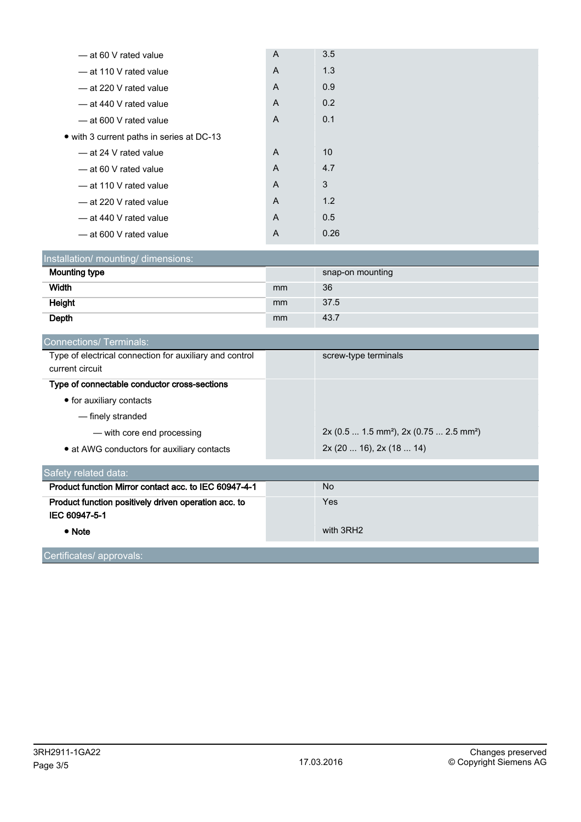| - at 60 V rated value                     | $\overline{A}$ | 3.5  |
|-------------------------------------------|----------------|------|
| - at 110 V rated value                    | A              | 1.3  |
| -at 220 V rated value                     | $\overline{A}$ | 0.9  |
| -at 440 V rated value                     | $\overline{A}$ | 0.2  |
| - at 600 V rated value                    | $\overline{A}$ | 0.1  |
| • with 3 current paths in series at DC-13 |                |      |
| - at 24 V rated value                     | $\overline{A}$ | 10   |
| -at 60 V rated value                      | A              | 4.7  |
| - at 110 V rated value                    | A              | 3    |
| -at 220 V rated value                     | A              | 1.2  |
| -at 440 V rated value                     | $\overline{A}$ | 0.5  |
| -at 600 V rated value                     | A              | 0.26 |

| Installation/ mounting/ dimensions: |    |                  |  |  |
|-------------------------------------|----|------------------|--|--|
| <b>Mounting type</b>                |    | snap-on mounting |  |  |
| Width                               | mm | 36               |  |  |
| Height                              | mm | 37.5             |  |  |
| Depth                               | mm | 43.7             |  |  |

| screw-type terminals                       |
|--------------------------------------------|
|                                            |
|                                            |
|                                            |
|                                            |
| $2x (0.5  1.5 mm2)$ , $2x (0.75  2.5 mm2)$ |
| 2x (20  16), 2x (18  14)                   |
|                                            |
| No.                                        |
| Yes                                        |
|                                            |
| with 3RH2                                  |
|                                            |

Certificates/ approvals: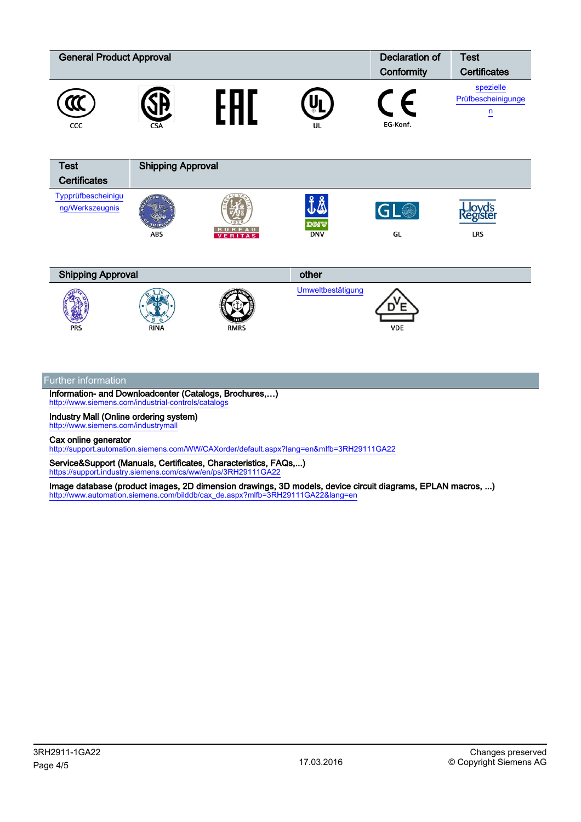| <b>General Product Approval</b>       |                          |                   |                   | <b>Declaration of</b> | <b>Test</b>                                       |
|---------------------------------------|--------------------------|-------------------|-------------------|-----------------------|---------------------------------------------------|
|                                       |                          |                   |                   | Conformity            | <b>Certificates</b>                               |
| CCC                                   | <b>CSA</b>               |                   | UL                | ┝<br>EG-Konf.         | spezielle<br>Prüfbescheinigunge<br>$\overline{u}$ |
| <b>Test</b>                           | <b>Shipping Approval</b> |                   |                   |                       |                                                   |
| <b>Certificates</b>                   |                          |                   |                   |                       |                                                   |
| Typprüfbescheinigu<br>ng/Werkszeugnis | <b>ABS</b>               | BUREAU<br>VERITAS | DNV<br><b>DNV</b> | GL <sup>®</sup><br>GL | <b>Lloyd's</b><br>Register<br><b>LRS</b>          |
| <b>Shipping Approval</b>              |                          |                   | other             |                       |                                                   |
| <b>PRS</b>                            | <b>RINA</b>              | <b>RMRS</b>       | Umweltbestätigung | <b>VDE</b>            |                                                   |

## Further information

Information- and Downloadcenter (Catalogs, Brochures,…) <http://www.siemens.com/industrial-controls/catalogs>

Industry Mall (Online ordering system) <http://www.siemens.com/industrymall>

Cax online generator

<http://support.automation.siemens.com/WW/CAXorder/default.aspx?lang=en&mlfb=3RH29111GA22>

Service&Support (Manuals, Certificates, Characteristics, FAQs,...) <https://support.industry.siemens.com/cs/ww/en/ps/3RH29111GA22>

Image database (product images, 2D dimension drawings, 3D models, device circuit diagrams, EPLAN macros, ...) [http://www.automation.siemens.com/bilddb/cax\\_de.aspx?mlfb=3RH29111GA22&lang=en](http://www.automation.siemens.com/bilddb/cax_de.aspx?mlfb=3RH29111GA22&lang=en)